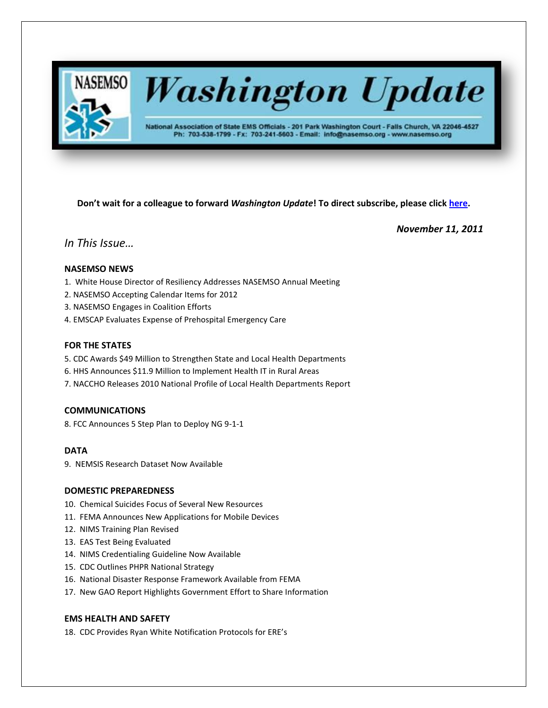

# **Washington Update**

National Association of State EMS Officials - 201 Park Washington Court - Falls Church, VA 22046-4527 Ph: 703-538-1799 - Fx: 703-241-5603 - Email: info@nasemso.org - www.nasemso.org

**Don't wait for a colleague to forward** *Washington Update***! To direct subscribe, please click [here.](http://lists.nasemso.org/read/all_forums/subscribe?name=wu%20)**

*November 11, 2011*

# *In This Issue…*

# **NASEMSO NEWS**

- 1. White House Director of Resiliency Addresses NASEMSO Annual Meeting
- 2. NASEMSO Accepting Calendar Items for 2012
- 3. NASEMSO Engages in Coalition Efforts
- 4. EMSCAP Evaluates Expense of Prehospital Emergency Care

# **FOR THE STATES**

- 5. CDC Awards \$49 Million to Strengthen State and Local Health Departments
- 6. HHS Announces \$11.9 Million to Implement Health IT in Rural Areas
- 7. NACCHO Releases 2010 National Profile of Local Health Departments Report

# **COMMUNICATIONS**

8. FCC Announces 5 Step Plan to Deploy NG 9-1-1

# **DATA**

9. NEMSIS Research Dataset Now Available

# **DOMESTIC PREPAREDNESS**

- 10. Chemical Suicides Focus of Several New Resources
- 11. FEMA Announces New Applications for Mobile Devices
- 12. NIMS Training Plan Revised
- 13. EAS Test Being Evaluated
- 14. NIMS Credentialing Guideline Now Available
- 15. CDC Outlines PHPR National Strategy
- 16. National Disaster Response Framework Available from FEMA
- 17. New GAO Report Highlights Government Effort to Share Information

# **EMS HEALTH AND SAFETY**

18. CDC Provides Ryan White Notification Protocols for ERE's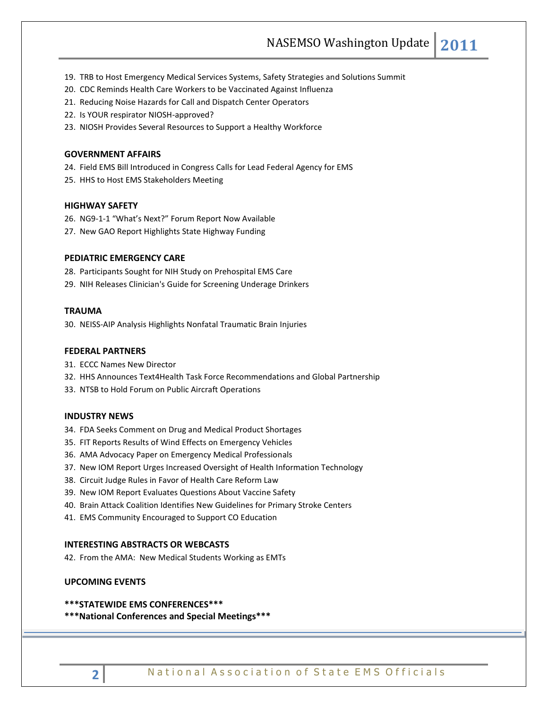- 19. TRB to Host Emergency Medical Services Systems, Safety Strategies and Solutions Summit
- 20. CDC Reminds Health Care Workers to be Vaccinated Against Influenza
- 21. Reducing Noise Hazards for Call and Dispatch Center Operators
- 22. Is YOUR respirator NIOSH-approved?
- 23. NIOSH Provides Several Resources to Support a Healthy Workforce

#### **GOVERNMENT AFFAIRS**

24. Field EMS Bill Introduced in Congress Calls for Lead Federal Agency for EMS

25. HHS to Host EMS Stakeholders Meeting

#### **HIGHWAY SAFETY**

- 26. NG9-1-1 "What's Next?" Forum Report Now Available
- 27. New GAO Report Highlights State Highway Funding

#### **PEDIATRIC EMERGENCY CARE**

- 28. Participants Sought for NIH Study on Prehospital EMS Care
- 29. NIH Releases Clinician's Guide for Screening Underage Drinkers

#### **TRAUMA**

30. NEISS-AIP Analysis Highlights Nonfatal Traumatic Brain Injuries

#### **FEDERAL PARTNERS**

- 31. ECCC Names New Director
- 32. HHS Announces Text4Health Task Force Recommendations and Global Partnership
- 33. NTSB to Hold Forum on Public Aircraft Operations

#### **INDUSTRY NEWS**

- 34. FDA Seeks Comment on Drug and Medical Product Shortages
- 35. FIT Reports Results of Wind Effects on Emergency Vehicles
- 36. AMA Advocacy Paper on Emergency Medical Professionals
- 37. New IOM Report Urges Increased Oversight of Health Information Technology
- 38. Circuit Judge Rules in Favor of Health Care Reform Law
- 39. New IOM Report Evaluates Questions About Vaccine Safety
- 40. Brain Attack Coalition Identifies New Guidelines for Primary Stroke Centers
- 41. EMS Community Encouraged to Support CO Education

#### **INTERESTING ABSTRACTS OR WEBCASTS**

42. From the AMA: New Medical Students Working as EMTs

#### **UPCOMING EVENTS**

#### **\*\*\*STATEWIDE EMS CONFERENCES\*\*\***

**\*\*\*National Conferences and Special Meetings\*\*\***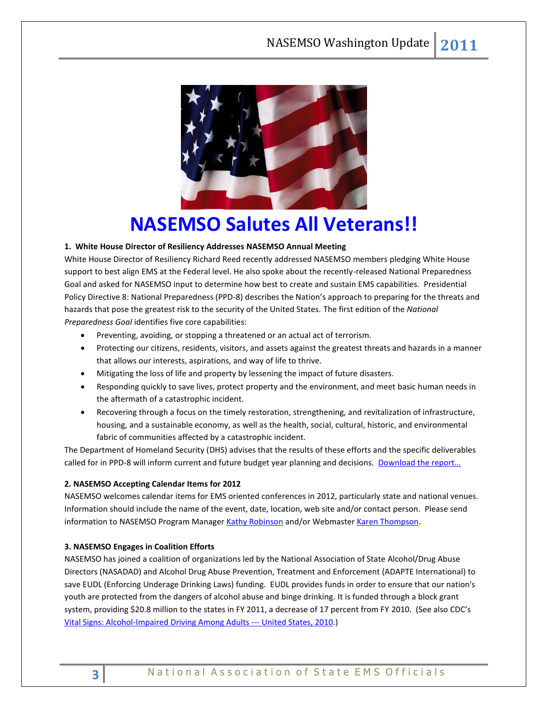

# **NASEMSO Salutes All Veterans!!**

# **1. White House Director of Resiliency Addresses NASEMSO Annual Meeting**

White House Director of Resiliency Richard Reed recently addressed NASEMSO members pledging White House support to best align EMS at the Federal level. He also spoke about the recently-released National Preparedness Goal and asked for NASEMSO input to determine how best to create and sustain EMS capabilities. Presidential Policy Directive 8: National Preparedness (PPD-8) describes the Nation's approach to preparing for the threats and hazards that pose the greatest risk to the security of the United States. The first edition of the *National Preparedness Goal* identifies five core capabilities:

- Preventing, avoiding, or stopping a threatened or an actual act of terrorism.
- Protecting our citizens, residents, visitors, and assets against the greatest threats and hazards in a manner that allows our interests, aspirations, and way of life to thrive.
- Mitigating the loss of life and property by lessening the impact of future disasters.
- Responding quickly to save lives, protect property and the environment, and meet basic human needs in the aftermath of a catastrophic incident.
- Recovering through a focus on the timely restoration, strengthening, and revitalization of infrastructure, housing, and a sustainable economy, as well as the health, social, cultural, historic, and environmental fabric of communities affected by a catastrophic incident.

The Department of Homeland Security (DHS) advises that the results of these efforts and the specific deliverables called for in PPD-8 will inform current and future budget year planning and decisions. Download the report...

#### **2. NASEMSO Accepting Calendar Items for 2012**

NASEMSO welcomes calendar items for EMS oriented conferences in 2012, particularly state and national venues. Information should include the name of the event, date, location, web site and/or contact person. Please send information to NASEMSO Program Manager [Kathy Robinson](mailto:robinson@nasemso.org) and/or Webmaster [Karen Thompson.](mailto:thompson@nasemso.org)

#### **3. NASEMSO Engages in Coalition Efforts**

NASEMSO has joined a coalition of organizations led by the National Association of State Alcohol/Drug Abuse Directors (NASADAD) and Alcohol Drug Abuse Prevention, Treatment and Enforcement (ADAPTE International) to save EUDL (Enforcing Underage Drinking Laws) funding. EUDL provides funds in order to ensure that our nation's youth are protected from the dangers of alcohol abuse and binge drinking. It is funded through a block grant system, providing \$20.8 million to the states in FY 2011, a decrease of 17 percent from FY 2010. (See also CDC's [Vital Signs: Alcohol-Impaired Driving Among Adults ---](http://www.cdc.gov/mmwr/preview/mmwrhtml/mm6039a4.htm?s_cid=mm6039a4_w) United States, 2010.)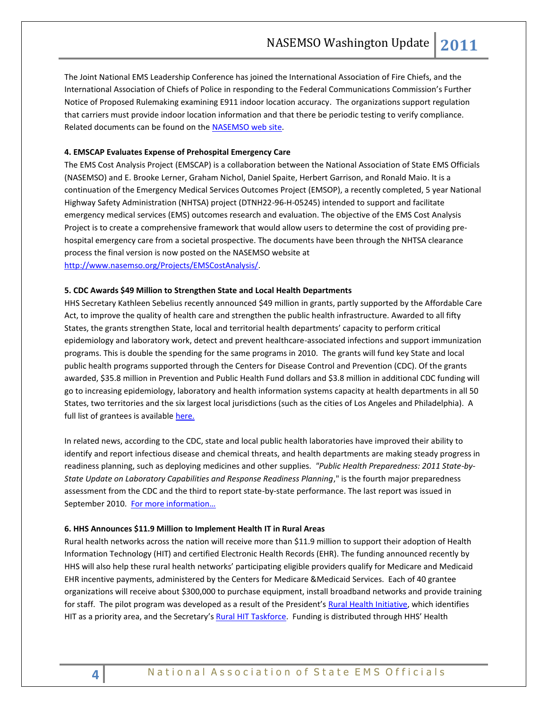The Joint National EMS Leadership Conference has joined the International Association of Fire Chiefs, and the International Association of Chiefs of Police in responding to the Federal Communications Commission's Further Notice of Proposed Rulemaking examining E911 indoor location accuracy. The organizations support regulation that carriers must provide indoor location information and that there be periodic testing to verify compliance. Related documents can be found on the [NASEMSO web site.](http://www.nasemso.org/)

#### **4. EMSCAP Evaluates Expense of Prehospital Emergency Care**

The EMS Cost Analysis Project (EMSCAP) is a collaboration between the National Association of State EMS Officials (NASEMSO) and E. Brooke Lerner, Graham Nichol, Daniel Spaite, Herbert Garrison, and Ronald Maio. It is a continuation of the Emergency Medical Services Outcomes Project (EMSOP), a recently completed, 5 year National Highway Safety Administration (NHTSA) project (DTNH22-96-H-05245) intended to support and facilitate emergency medical services (EMS) outcomes research and evaluation. The objective of the EMS Cost Analysis Project is to create a comprehensive framework that would allow users to determine the cost of providing prehospital emergency care from a societal prospective. The documents have been through the NHTSA clearance process the final version is now posted on the NASEMSO website at [http://www.nasemso.org/Projects/EMSCostAnalysis/.](http://www.nasemso.org/Projects/EMSCostAnalysis/)

#### **5. CDC Awards \$49 Million to Strengthen State and Local Health Departments**

HHS Secretary Kathleen Sebelius recently announced \$49 million in grants, partly supported by the Affordable Care Act, to improve the quality of health care and strengthen the public health infrastructure. Awarded to all fifty States, the grants strengthen State, local and territorial health departments' capacity to perform critical epidemiology and laboratory work, detect and prevent healthcare-associated infections and support immunization programs. This is double the spending for the same programs in 2010. The grants will fund key State and local public health programs supported through the Centers for Disease Control and Prevention (CDC). Of the grants awarded, \$35.8 million in Prevention and Public Health Fund dollars and \$3.8 million in additional CDC funding will go to increasing epidemiology, laboratory and health information systems capacity at health departments in all 50 States, two territories and the six largest local jurisdictions (such as the cities of Los Angeles and Philadelphia). A full list of grantees is available [here.](http://www.hhs.gov/news/press/2011pres/08/state_cdc_grants.html)

In related news, according to the CDC, state and local public health laboratories have improved their ability to identify and report infectious disease and chemical threats, and health departments are making steady progress in readiness planning, such as deploying medicines and other supplies. *"Public Health Preparedness: 2011 State-by-State Update on Laboratory Capabilities and Response Readiness Planning*," is the fourth major preparedness assessment from the CDC and the third to report state-by-state performance. The last report was issued in September 2010. [For more information…](http://www.cdc.gov/phpr/pubs-links/2011/documents/SEPT_UPDATE_REPORT_9-13-2011-Final.pdf)

#### **6. HHS Announces \$11.9 Million to Implement Health IT in Rural Areas**

Rural health networks across the nation will receive more than \$11.9 million to support their adoption of Health Information Technology (HIT) and certified Electronic Health Records (EHR). The funding announced recently by HHS will also help these rural health networks' participating eligible providers qualify for Medicare and Medicaid EHR incentive payments, administered by the Centers for Medicare &Medicaid Services. Each of 40 grantee organizations will receive about \$300,000 to purchase equipment, install broadband networks and provide training for staff. The pilot program was developed as a result of the President's [Rural Health Initiative,](http://www.hrsa.gov/ruralhealth/index.html) which identifies HIT as a priority area, and the Secretary's [Rural HIT Taskforce.](http://healthit.hhs.gov/portal/server.pt?open=512&mode=2&objID=3769) Funding is distributed through HHS' Health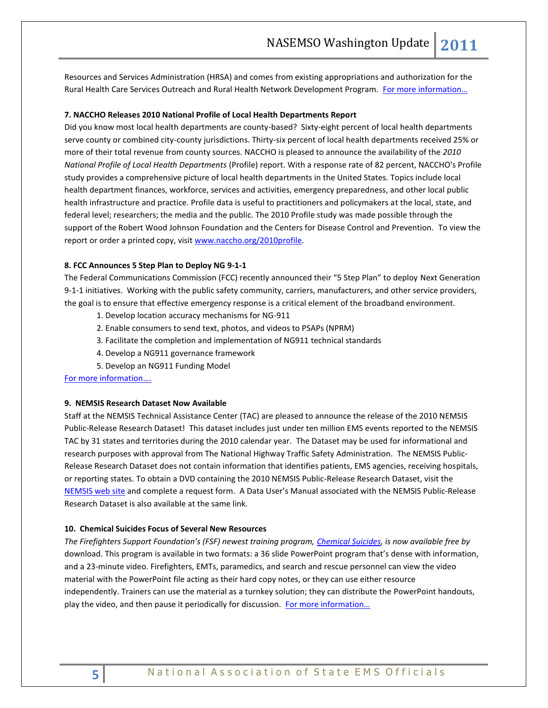Resources and Services Administration (HRSA) and comes from existing appropriations and authorization for the Rural Health Care Services Outreach and Rural Health Network Development Program. [For more information…](http://www.hhs.gov/news/press/2011pres/09/20110902a.html)

#### **7. NACCHO Releases 2010 National Profile of Local Health Departments Report**

Did you know most local health departments are county-based? Sixty-eight percent of local health departments serve county or combined city-county jurisdictions. Thirty-six percent of local health departments received 25% or more of their total revenue from county sources. NACCHO is pleased to announce the availability of the *2010 National Profile of Local Health Departments* (Profile) report. With a response rate of 82 percent, NACCHO's Profile study provides a comprehensive picture of local health departments in the United States. Topics include local health department finances, workforce, services and activities, emergency preparedness, and other local public health infrastructure and practice. Profile data is useful to practitioners and policymakers at the local, state, and federal level; researchers; the media and the public. The 2010 Profile study was made possible through the support of the Robert Wood Johnson Foundation and the Centers for Disease Control and Prevention. To view the report or order a printed copy, visi[t www.naccho.org/2010profile.](http://www.naccho.org/2010profile)

#### **8. FCC Announces 5 Step Plan to Deploy NG 9-1-1**

The Federal Communications Commission (FCC) recently announced their "5 Step Plan" to deploy Next Generation 9-1-1 initiatives. Working with the public safety community, carriers, manufacturers, and other service providers, the goal is to ensure that effective emergency response is a critical element of the broadband environment.

- 1. Develop location accuracy mechanisms for NG-911
- 2. Enable consumers to send text, photos, and videos to PSAPs (NPRM)
- 3. Facilitate the completion and implementation of NG911 technical standards
- 4. Develop a NG911 governance framework
- 5. Develop an NG911 Funding Model

#### [For more information](http://www.fcc.gov/document/fact-sheet-five-step-action-plan-improve-deployment-next-generation-9-1-1-ng911)….

#### **9. NEMSIS Research Dataset Now Available**

Staff at the NEMSIS Technical Assistance Center (TAC) are pleased to announce the release of the 2010 NEMSIS Public-Release Research Dataset! This dataset includes just under ten million EMS events reported to the NEMSIS TAC by 31 states and territories during the 2010 calendar year. The Dataset may be used for informational and research purposes with approval from The National Highway Traffic Safety Administration. The NEMSIS Public-Release Research Dataset does not contain information that identifies patients, EMS agencies, receiving hospitals, or reporting states. To obtain a DVD containing the 2010 NEMSIS Public-Release Research Dataset, visit the [NEMSIS web site](http://www.nemsis.org/reportingTools/requestNEMSISData.html) and complete a request form. A Data User's Manual associated with the NEMSIS Public-Release Research Dataset is also available at the same link.

#### **10. Chemical Suicides Focus of Several New Resources**

*The Firefighters Support Foundation's (FSF) newest training program, [Chemical Suicides,](http://downloads.pennnet.com/fefsf/chemical_suicides.zip) is now available free by* download. This program is available in two formats: a 36 slide PowerPoint program that's dense with information, and a 23-minute video. Firefighters, EMTs, paramedics, and search and rescue personnel can view the video material with the PowerPoint file acting as their hard copy notes, or they can use either resource independently. Trainers can use the material as a turnkey solution; they can distribute the PowerPoint handouts, play the video, and then pause it periodically for discussion. For more information...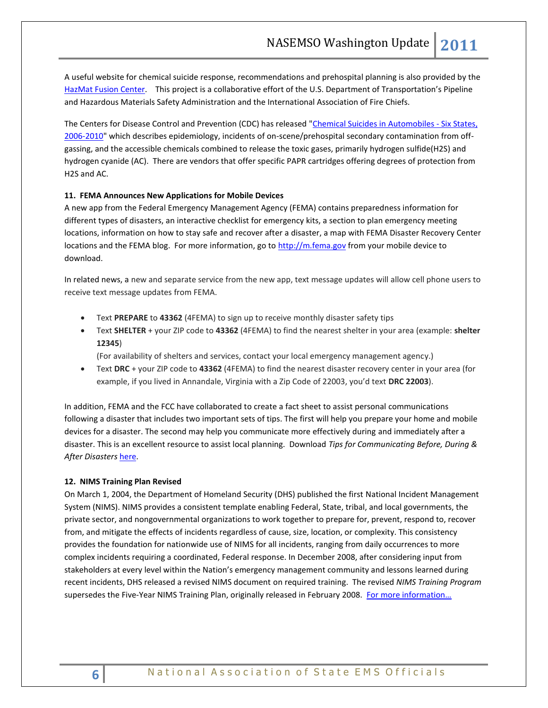A useful website for chemical suicide response, recommendations and prehospital planning is also provided by the [HazMat Fusion Center](http://www.hazmatfc.com/incidentReports/statsTrends/Pages/Home.aspx). This project is a collaborative effort of the U.S. Department of Transportation's Pipeline and Hazardous Materials Safety Administration and the International Association of Fire Chiefs.

The Centers for Disease Control and Prevention (CDC) has released ["Chemical Suicides in Automobiles -](http://www.cdc.gov/mmwr/preview/mmwrhtml/mm6035a1.htm) Six States, [2006-2010"](http://www.cdc.gov/mmwr/preview/mmwrhtml/mm6035a1.htm) which describes epidemiology, incidents of on-scene/prehospital secondary contamination from offgassing, and the accessible chemicals combined to release the toxic gases, primarily hydrogen sulfide(H2S) and hydrogen cyanide (AC). There are vendors that offer specific PAPR cartridges offering degrees of protection from H2S and AC.

#### **11. FEMA Announces New Applications for Mobile Devices**

A new app from the Federal Emergency Management Agency (FEMA) contains preparedness information for different types of disasters, an interactive checklist for emergency kits, a section to plan emergency meeting locations, information on how to stay safe and recover after a disaster, a map with FEMA Disaster Recovery Center locations and the FEMA blog. For more information, go to [http://m.fema.gov](http://m.fema.gov/) from your mobile device to download.

In related news, a new and separate service from the new app, text message updates will allow cell phone users to receive text message updates from FEMA.

- Text **PREPARE** to **43362** (4FEMA) to sign up to receive monthly disaster safety tips
- Text **SHELTER** + your ZIP code to **43362** (4FEMA) to find the nearest shelter in your area (example: **shelter 12345**)

(For availability of shelters and services, contact your local emergency management agency.)

 Text **DRC** + your ZIP code to **43362** (4FEMA) to find the nearest disaster recovery center in your area (for example, if you lived in Annandale, Virginia with a Zip Code of 22003, you'd text **DRC 22003**).

In addition, FEMA and the FCC have collaborated to create a fact sheet to assist personal communications following a disaster that includes two important sets of tips. The first will help you prepare your home and mobile devices for a disaster. The second may help you communicate more effectively during and immediately after a disaster. This is an excellent resource to assist local planning. Download *Tips for Communicating Before, During & After Disasters* [here.](http://transition.fcc.gov/Daily_Releases/Daily_Business/2011/db0921/DOC-309723A1.pdf)

#### **12. NIMS Training Plan Revised**

On March 1, 2004, the Department of Homeland Security (DHS) published the first National Incident Management System (NIMS). NIMS provides a consistent template enabling Federal, State, tribal, and local governments, the private sector, and nongovernmental organizations to work together to prepare for, prevent, respond to, recover from, and mitigate the effects of incidents regardless of cause, size, location, or complexity. This consistency provides the foundation for nationwide use of NIMS for all incidents, ranging from daily occurrences to more complex incidents requiring a coordinated, Federal response. In December 2008, after considering input from stakeholders at every level within the Nation's emergency management community and lessons learned during recent incidents, DHS released a revised NIMS document on required training. The revised *NIMS Training Program* supersedes the Five-Year NIMS Training Plan, originally released in February 2008. For more information...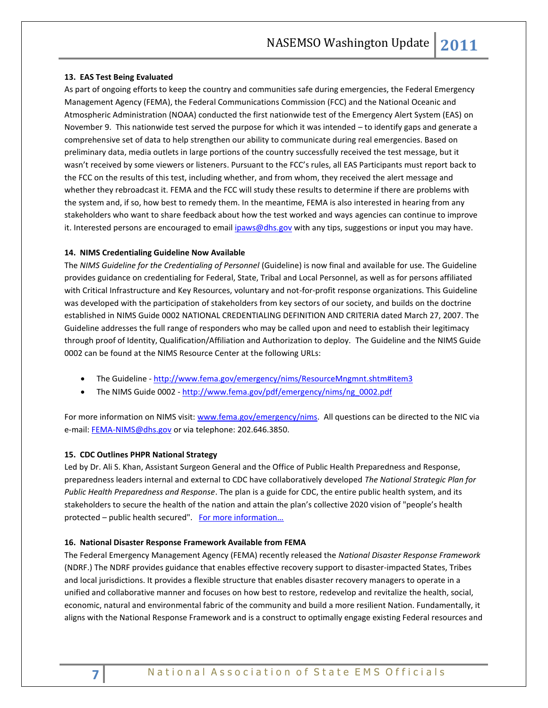#### **13. EAS Test Being Evaluated**

As part of ongoing efforts to keep the country and communities safe during emergencies, the Federal Emergency Management Agency (FEMA), the Federal Communications Commission (FCC) and the National Oceanic and Atmospheric Administration (NOAA) conducted the first nationwide test of the Emergency Alert System (EAS) on November 9. This nationwide test served the purpose for which it was intended – to identify gaps and generate a comprehensive set of data to help strengthen our ability to communicate during real emergencies. Based on preliminary data, media outlets in large portions of the country successfully received the test message, but it wasn't received by some viewers or listeners. Pursuant to the FCC's rules, all EAS Participants must report back to the FCC on the results of this test, including whether, and from whom, they received the alert message and whether they rebroadcast it. FEMA and the FCC will study these results to determine if there are problems with the system and, if so, how best to remedy them. In the meantime, FEMA is also interested in hearing from any stakeholders who want to share feedback about how the test worked and ways agencies can continue to improve it. Interested persons are encouraged to email *ipaws@dhs.gov* with any tips, suggestions or input you may have.

#### **14. NIMS Credentialing Guideline Now Available**

The *NIMS Guideline for the Credentialing of Personnel* (Guideline) is now final and available for use. The Guideline provides guidance on credentialing for Federal, State, Tribal and Local Personnel, as well as for persons affiliated with Critical Infrastructure and Key Resources, voluntary and not-for-profit response organizations. This Guideline was developed with the participation of stakeholders from key sectors of our society, and builds on the doctrine established in NIMS Guide 0002 NATIONAL CREDENTIALING DEFINITION AND CRITERIA dated March 27, 2007. The Guideline addresses the full range of responders who may be called upon and need to establish their legitimacy through proof of Identity, Qualification/Affiliation and Authorization to deploy. The Guideline and the NIMS Guide 0002 can be found at the NIMS Resource Center at the following URLs:

- The Guideline [http://www.fema.gov/emergency/nims/ResourceMngmnt.shtm#item3](http://links.govdelivery.com/track?type=click&enid=bWFpbGluZ2lkPTIwMTEwOTAyLjI3MzMyNTEmbWVzc2FnZWlkPU1EQi1QUkQtQlVMLTIwMTEwOTAyLjI3MzMyNTEmZGF0YWJhc2VpZD0xMDAxJnNlcmlhbD0xMjc3MDIyMTgzJmVtYWlsaWQ9bGVzbGVlc3NAYW9sLmNvbSZ1c2VyaWQ9bGVzbGVlc3NAYW9sLmNvbSZmbD0mZXh0cmE9TXVsdGl2YXJpYXRlSWQ9JiYm&&&100&&&http://www.fema.gov/emergency/nims/ResourceMngmnt.shtm#item3)
- The NIMS Guide 0002 [http://www.fema.gov/pdf/emergency/nims/ng\\_0002.pdf](http://links.govdelivery.com/track?type=click&enid=bWFpbGluZ2lkPTIwMTEwOTAyLjI3MzMyNTEmbWVzc2FnZWlkPU1EQi1QUkQtQlVMLTIwMTEwOTAyLjI3MzMyNTEmZGF0YWJhc2VpZD0xMDAxJnNlcmlhbD0xMjc3MDIyMTgzJmVtYWlsaWQ9bGVzbGVlc3NAYW9sLmNvbSZ1c2VyaWQ9bGVzbGVlc3NAYW9sLmNvbSZmbD0mZXh0cmE9TXVsdGl2YXJpYXRlSWQ9JiYm&&&101&&&http://www.fema.gov/pdf/emergency/nims/ng_0002.pdf)

For more information on NIMS visit[: www.fema.gov/emergency/nims.](http://www.fema.gov/emergency/nims) All questions can be directed to the NIC via e-mail[: FEMA-NIMS@dhs.gov](mailto:FEMA-NIMS@dhs.gov) or via telephone: 202.646.3850.

#### **15. CDC Outlines PHPR National Strategy**

Led by Dr. Ali S. Khan, Assistant Surgeon General and the Office of Public Health Preparedness and Response, preparedness leaders internal and external to CDC have collaboratively developed *The National Strategic Plan for Public Health Preparedness and Response*. The plan is a guide for CDC, the entire public health system, and its stakeholders to secure the health of the nation and attain the plan's collective 2020 vision of "people's health protected – public health secured". [For more information…](http://www.cdc.gov/phpr/publications/A_Natl_Strategic_Plan_for_Preparedness.htm)

#### **16. National Disaster Response Framework Available from FEMA**

The Federal Emergency Management Agency (FEMA) recently released the *National Disaster Response Framework* (NDRF.) The NDRF provides guidance that enables effective recovery support to disaster-impacted States, Tribes and local jurisdictions. It provides a flexible structure that enables disaster recovery managers to operate in a unified and collaborative manner and focuses on how best to restore, redevelop and revitalize the health, social, economic, natural and environmental fabric of the community and build a more resilient Nation. Fundamentally, it aligns with the National Response Framework and is a construct to optimally engage existing Federal resources and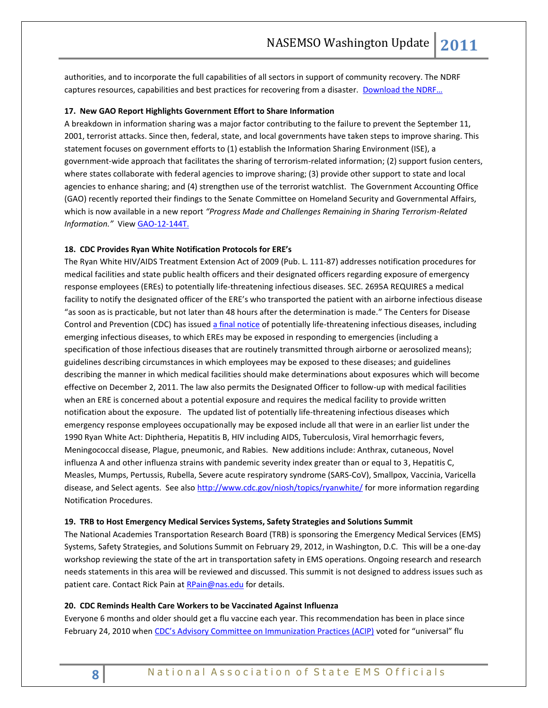authorities, and to incorporate the full capabilities of all sectors in support of community recovery. The NDRF captures resources, capabilities and best practices for recovering from a disaster. [Download the NDRF…](http://www.fema.gov/pdf/recoveryframework/ndrf.pdf)

#### **17. New GAO Report Highlights Government Effort to Share Information**

A breakdown in information sharing was a major factor contributing to the failure to prevent the September 11, 2001, terrorist attacks. Since then, federal, state, and local governments have taken steps to improve sharing. This statement focuses on government efforts to (1) establish the Information Sharing Environment (ISE), a government-wide approach that facilitates the sharing of terrorism-related information; (2) support fusion centers, where states collaborate with federal agencies to improve sharing; (3) provide other support to state and local agencies to enhance sharing; and (4) strengthen use of the terrorist watchlist. The Government Accounting Office (GAO) recently reported their findings to the Senate Committee on Homeland Security and Governmental Affairs, which is now available in a new report *"Progress Made and Challenges Remaining in Sharing Terrorism-Related Information."* View [GAO-12-144T.](http://www.gao.gov/products/GAO-12-144T)

#### **18. CDC Provides Ryan White Notification Protocols for ERE's**

The Ryan White HIV/AIDS Treatment Extension Act of 2009 (Pub. L. 111-87) addresses notification procedures for medical facilities and state public health officers and their designated officers regarding exposure of emergency response employees (EREs) to potentially life-threatening infectious diseases. SEC. 2695A REQUIRES a medical facility to notify the designated officer of the ERE's who transported the patient with an airborne infectious disease "as soon as is practicable, but not later than 48 hours after the determination is made." The Centers for Disease Control and Prevention (CDC) has issued [a final notice](http://www.gpo.gov/fdsys/pkg/PLAW-111publ87/pdf/PLAW-111publ87.pdf) of potentially life-threatening infectious diseases, including emerging infectious diseases, to which EREs may be exposed in responding to emergencies (including a specification of those infectious diseases that are routinely transmitted through airborne or aerosolized means); guidelines describing circumstances in which employees may be exposed to these diseases; and guidelines describing the manner in which medical facilities should make determinations about exposures which will become effective on December 2, 2011. The law also permits the Designated Officer to follow-up with medical facilities when an ERE is concerned about a potential exposure and requires the medical facility to provide written notification about the exposure. The updated list of potentially life-threatening infectious diseases which emergency response employees occupationally may be exposed include all that were in an earlier list under the 1990 Ryan White Act: Diphtheria, Hepatitis B, HIV including AIDS, Tuberculosis, Viral hemorrhagic fevers, Meningococcal disease, Plague, pneumonic, and Rabies. New additions include: Anthrax, cutaneous, Novel influenza A and other influenza strains with pandemic severity index greater than or equal to 3, Hepatitis C, Measles, Mumps, Pertussis, Rubella, Severe acute respiratory syndrome (SARS-CoV), Smallpox, Vaccinia, Varicella disease, and Select agents. See als[o http://www.cdc.gov/niosh/topics/ryanwhite/](http://www.cdc.gov/niosh/topics/ryanwhite/) for more information regarding Notification Procedures.

#### **19. TRB to Host Emergency Medical Services Systems, Safety Strategies and Solutions Summit**

The National Academies Transportation Research Board (TRB) is sponsoring the Emergency Medical Services (EMS) Systems, Safety Strategies, and Solutions Summit on February 29, 2012, in Washington, D.C. This will be a one-day workshop reviewing the state of the art in transportation safety in EMS operations. Ongoing research and research needs statements in this area will be reviewed and discussed. This summit is not designed to address issues such as patient care. Contact Rick Pain at [RPain@nas.edu](mailto:RPain@nas.edu) for details.

#### **20. CDC Reminds Health Care Workers to be Vaccinated Against Influenza**

Everyone 6 months and older should get a flu vaccine each year. This recommendation has been in place since February 24, 2010 when [CDC's Advisory Committee on Immunization Practices \(ACIP\)](http://www.cdc.gov/media/pressrel/2010/r100224.htm) voted for "universal" flu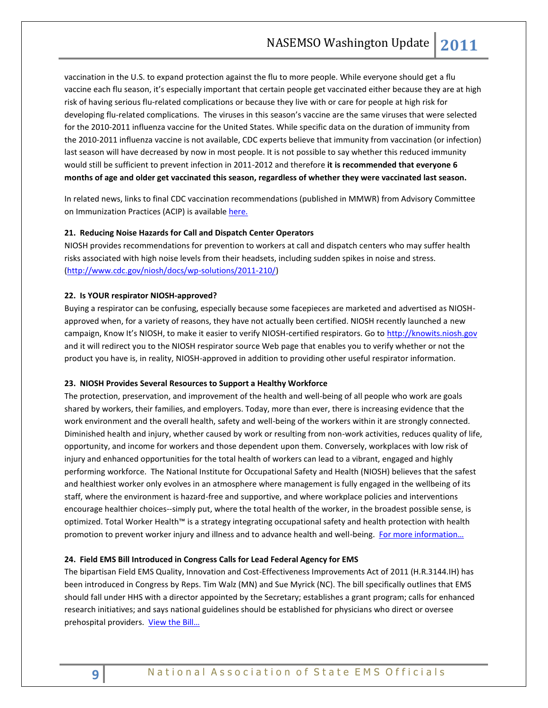vaccination in the U.S. to expand protection against the flu to more people. While everyone should get a flu vaccine each flu season, it's especially important that certain people get vaccinated either because they are at high risk of having serious flu-related complications or because they live with or care for people at high risk for developing flu-related complications. The viruses in this season's vaccine are the same viruses that were selected for the 2010-2011 influenza vaccine for the United States. While specific data on the duration of immunity from the 2010-2011 influenza vaccine is not available, CDC experts believe that immunity from vaccination (or infection) last season will have decreased by now in most people. It is not possible to say whether this reduced immunity would still be sufficient to prevent infection in 2011-2012 and therefore **it is recommended that everyone 6 months of age and older get vaccinated this season, regardless of whether they were vaccinated last season.**

In related news, links to final CDC vaccination recommendations (published in MMWR) from Advisory Committee on Immunization Practices (ACIP) is available [here.](http://www.cdc.gov/vaccines/pubs/ACIP-list-by-date.htm)

#### **21. Reducing Noise Hazards for Call and Dispatch Center Operators**

NIOSH provides recommendations for prevention to workers at call and dispatch centers who may suffer health risks associated with high noise levels from their headsets, including sudden spikes in noise and stress. [\(http://www.cdc.gov/niosh/docs/wp-solutions/2011-210/\)](http://www.cdc.gov/niosh/docs/wp-solutions/2011-210/)

#### **22. Is YOUR respirator NIOSH-approved?**

Buying a respirator can be confusing, especially because some facepieces are marketed and advertised as NIOSHapproved when, for a variety of reasons, they have not actually been certified. NIOSH recently launched a new campaign, Know It's NIOSH, to make it easier to verify NIOSH-certified respirators. Go t[o http://knowits.niosh.gov](http://links.govdelivery.com/track?type=click&enid=bWFpbGluZ2lkPTE0NzI4MjkmbWVzc2FnZWlkPVBSRC1CVUwtMTQ3MjgyOSZkYXRhYmFzZWlkPTEwMDEmc2VyaWFsPTEyNzY2NzkyNDYmZW1haWxpZD1rcm9iaW5zb25AYXNtaWkubmV0JnVzZXJpZD1rcm9iaW5zb25AYXNtaWkubmV0JmZsPSZleHRyYT1NdWx0aXZhcmlhdGVJZD0mJiY=&&&102&&&http://knowits.niosh.gov?source=govdelivery) and it will redirect you to the NIOSH respirator source Web page that enables you to verify whether or not the product you have is, in reality, NIOSH-approved in addition to providing other useful respirator information.

#### **23. NIOSH Provides Several Resources to Support a Healthy Workforce**

The protection, preservation, and improvement of the health and well-being of all people who work are goals shared by workers, their families, and employers. Today, more than ever, there is increasing evidence that the work environment and the overall health, safety and well-being of the workers within it are strongly connected. Diminished health and injury, whether caused by work or resulting from non-work activities, reduces quality of life, opportunity, and income for workers and those dependent upon them. Conversely, workplaces with low risk of injury and enhanced opportunities for the total health of workers can lead to a vibrant, engaged and highly performing workforce. The National Institute for Occupational Safety and Health (NIOSH) believes that the safest and healthiest worker only evolves in an atmosphere where management is fully engaged in the wellbeing of its staff, where the environment is hazard-free and supportive, and where workplace policies and interventions encourage healthier choices--simply put, where the total health of the worker, in the broadest possible sense, is optimized. Total Worker Health™ is a strategy integrating occupational safety and health protection with health promotion to prevent worker injury and illness and to advance health and well-being. For more information...

#### **24. Field EMS Bill Introduced in Congress Calls for Lead Federal Agency for EMS**

The bipartisan Field EMS Quality, Innovation and Cost-Effectiveness Improvements Act of 2011 (H.R.3144.IH) has been introduced in Congress by Reps. Tim Walz (MN) and Sue Myrick (NC). The bill specifically outlines that EMS should fall under HHS with a director appointed by the Secretary; establishes a grant program; calls for enhanced research initiatives; and says national guidelines should be established for physicians who direct or oversee prehospital providers. [View the Bill…](http://thomas.loc.gov/cgi-bin/query/z?c112:H.R.3144:)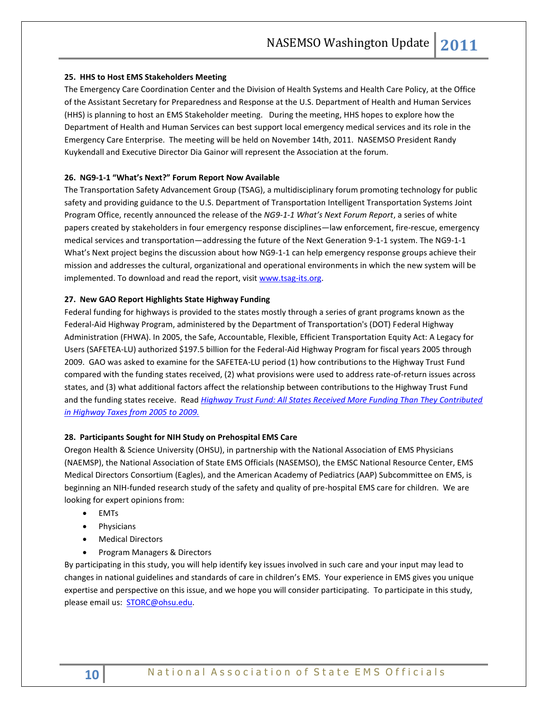#### **25. HHS to Host EMS Stakeholders Meeting**

The Emergency Care Coordination Center and the Division of Health Systems and Health Care Policy, at the Office of the Assistant Secretary for Preparedness and Response at the U.S. Department of Health and Human Services (HHS) is planning to host an EMS Stakeholder meeting. During the meeting, HHS hopes to explore how the Department of Health and Human Services can best support local emergency medical services and its role in the Emergency Care Enterprise. The meeting will be held on November 14th, 2011. NASEMSO President Randy Kuykendall and Executive Director Dia Gainor will represent the Association at the forum.

#### **26. NG9-1-1 "What's Next?" Forum Report Now Available**

The Transportation Safety Advancement Group (TSAG), a multidisciplinary forum promoting technology for public safety and providing guidance to the U.S. Department of Transportation Intelligent Transportation Systems Joint Program Office, recently announced the release of the *NG9-1-1 What's Next Forum Report*, a series of white papers created by stakeholders in four emergency response disciplines—law enforcement, fire-rescue, emergency medical services and transportation—addressing the future of the Next Generation 9-1-1 system. The NG9-1-1 What's Next project begins the discussion about how NG9-1-1 can help emergency response groups achieve their mission and addresses the cultural, organizational and operational environments in which the new system will be implemented. To download and read the report, visit [www.tsag-its.org.](http://www.tsag-its.org/) 

#### **27. New GAO Report Highlights State Highway Funding**

Federal funding for highways is provided to the states mostly through a series of grant programs known as the Federal-Aid Highway Program, administered by the Department of Transportation's (DOT) Federal Highway Administration (FHWA). In 2005, the Safe, Accountable, Flexible, Efficient Transportation Equity Act: A Legacy for Users (SAFETEA-LU) authorized \$197.5 billion for the Federal-Aid Highway Program for fiscal years 2005 through 2009. GAO was asked to examine for the SAFETEA-LU period (1) how contributions to the Highway Trust Fund compared with the funding states received, (2) what provisions were used to address rate-of-return issues across states, and (3) what additional factors affect the relationship between contributions to the Highway Trust Fund and the funding states receive. Read *[Highway Trust Fund: All States Received More Funding Than They Contributed](http://www.gao.gov/products/GAO-11-918)  [in Highway Taxes from 2005 to 2009.](http://www.gao.gov/products/GAO-11-918)*

#### **28. Participants Sought for NIH Study on Prehospital EMS Care**

Oregon Health & Science University (OHSU), in partnership with the National Association of EMS Physicians (NAEMSP), the National Association of State EMS Officials (NASEMSO), the EMSC National Resource Center, EMS Medical Directors Consortium (Eagles), and the American Academy of Pediatrics (AAP) Subcommittee on EMS, is beginning an NIH-funded research study of the safety and quality of pre-hospital EMS care for children. We are looking for expert opinions from:

- EMTs
- Physicians
- Medical Directors
- Program Managers & Directors

By participating in this study, you will help identify key issues involved in such care and your input may lead to changes in national guidelines and standards of care in children's EMS. Your experience in EMS gives you unique expertise and perspective on this issue, and we hope you will consider participating. To participate in this study, please email us: [STORC@ohsu.edu.](mailto:STORC@ohsu.edu)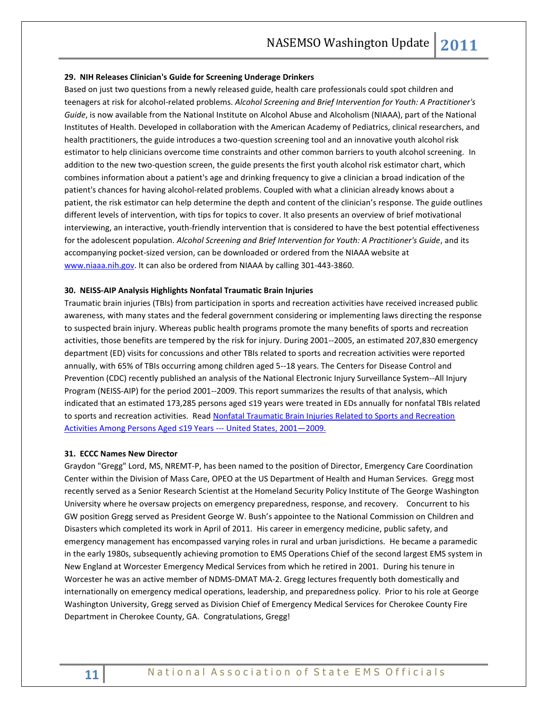#### **29. NIH Releases Clinician's Guide for Screening Underage Drinkers**

Based on just two questions from a newly released guide, health care professionals could spot children and teenagers at risk for alcohol-related problems. *Alcohol Screening and Brief Intervention for Youth: A Practitioner's Guide*, is now available from the National Institute on Alcohol Abuse and Alcoholism (NIAAA), part of the National Institutes of Health. Developed in collaboration with the American Academy of Pediatrics, clinical researchers, and health practitioners, the guide introduces a two-question screening tool and an innovative youth alcohol risk estimator to help clinicians overcome time constraints and other common barriers to youth alcohol screening. In addition to the new two-question screen, the guide presents the first youth alcohol risk estimator chart, which combines information about a patient's age and drinking frequency to give a clinician a broad indication of the patient's chances for having alcohol-related problems. Coupled with what a clinician already knows about a patient, the risk estimator can help determine the depth and content of the clinician's response. The guide outlines different levels of intervention, with tips for topics to cover. It also presents an overview of brief motivational interviewing, an interactive, youth-friendly intervention that is considered to have the best potential effectiveness for the adolescent population. *Alcohol Screening and Brief Intervention for Youth: A Practitioner's Guide*, and its accompanying pocket-sized version, can be downloaded or ordered from the NIAAA website at [www.niaaa.nih.gov.](http://www.niaaa.nih.gov/) It can also be ordered from NIAAA by calling 301-443-3860.

#### **30. NEISS-AIP Analysis Highlights Nonfatal Traumatic Brain Injuries**

Traumatic brain injuries (TBIs) from participation in sports and recreation activities have received increased public awareness, with many states and the federal government considering or implementing laws directing the response to suspected brain injury. Whereas public health programs promote the many benefits of sports and recreation activities, those benefits are tempered by the risk for injury. During 2001--2005, an estimated 207,830 emergency department (ED) visits for concussions and other TBIs related to sports and recreation activities were reported annually, with 65% of TBIs occurring among children aged 5--18 years. The Centers for Disease Control and Prevention (CDC) recently published an analysis of the National Electronic Injury Surveillance System--All Injury Program (NEISS-AIP) for the period 2001--2009. This report summarizes the results of that analysis, which indicated that an estimated 173,285 persons aged ≤19 years were treated in EDs annually for nonfatal TBIs related to sports and recreation activities. Read Nonfatal Traumatic Brain Injuries Related to Sports and Recreation Activities Amo[ng Persons Aged ≤19 Years](http://www.cdc.gov/mmwr/preview/mmwrhtml/mm6039a1.htm?s_cid=mm6039a1_e&source=govdelivery) --- United States, 2001—2009.

#### **31. ECCC Names New Director**

Graydon "Gregg" Lord, MS, NREMT-P, has been named to the position of Director, Emergency Care Coordination Center within the Division of Mass Care, OPEO at the US Department of Health and Human Services. Gregg most recently served as a Senior Research Scientist at the Homeland Security Policy Institute of The George Washington University where he oversaw projects on emergency preparedness, response, and recovery. Concurrent to his GW position Gregg served as President George W. Bush's appointee to the National Commission on Children and Disasters which completed its work in April of 2011. His career in emergency medicine, public safety, and emergency management has encompassed varying roles in rural and urban jurisdictions. He became a paramedic in the early 1980s, subsequently achieving promotion to EMS Operations Chief of the second largest EMS system in New England at Worcester Emergency Medical Services from which he retired in 2001. During his tenure in Worcester he was an active member of NDMS-DMAT MA-2. Gregg lectures frequently both domestically and internationally on emergency medical operations, leadership, and preparedness policy. Prior to his role at George Washington University, Gregg served as Division Chief of Emergency Medical Services for Cherokee County Fire Department in Cherokee County, GA. Congratulations, Gregg!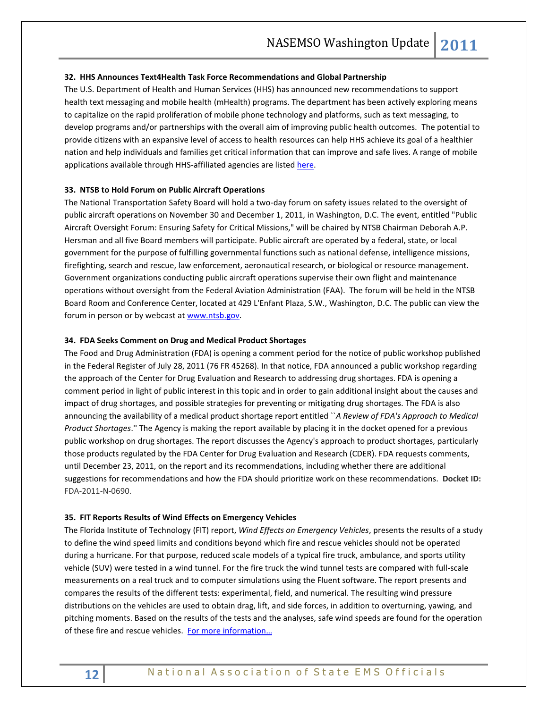#### **32. HHS Announces Text4Health Task Force Recommendations and Global Partnership**

The U.S. Department of Health and Human Services (HHS) has announced new recommendations to support health text messaging and mobile health (mHealth) programs. The department has been actively exploring means to capitalize on the rapid proliferation of mobile phone technology and platforms, such as text messaging, to develop programs and/or partnerships with the overall aim of improving public health outcomes. The potential to provide citizens with an expansive level of access to health resources can help HHS achieve its goal of a healthier nation and help individuals and families get critical information that can improve and safe lives. A range of mobile applications available through HHS-affiliated agencies are listed [here.](http://www.hrsa.gov/healthit/mhealthfedpro.html)

#### **33. NTSB to Hold Forum on Public Aircraft Operations**

The National Transportation Safety Board will hold a two-day forum on safety issues related to the oversight of public aircraft operations on November 30 and December 1, 2011, in Washington, D.C. The event, entitled "Public Aircraft Oversight Forum: Ensuring Safety for Critical Missions," will be chaired by NTSB Chairman Deborah A.P. Hersman and all five Board members will participate. Public aircraft are operated by a federal, state, or local government for the purpose of fulfilling governmental functions such as national defense, intelligence missions, firefighting, search and rescue, law enforcement, aeronautical research, or biological or resource management. Government organizations conducting public aircraft operations supervise their own flight and maintenance operations without oversight from the Federal Aviation Administration (FAA). The forum will be held in the NTSB Board Room and Conference Center, located at 429 L'Enfant Plaza, S.W., Washington, D.C. The public can view the forum in person or by webcast at [www.ntsb.gov.](http://www.ntsb.gov/)

#### **34. FDA Seeks Comment on Drug and Medical Product Shortages**

The Food and Drug Administration (FDA) is opening a comment period for the notice of public workshop published in the Federal Register of July 28, 2011 (76 FR 45268). In that notice, FDA announced a public workshop regarding the approach of the Center for Drug Evaluation and Research to addressing drug shortages. FDA is opening a comment period in light of public interest in this topic and in order to gain additional insight about the causes and impact of drug shortages, and possible strategies for preventing or mitigating drug shortages. The FDA is also announcing the availability of a medical product shortage report entitled ``*A Review of FDA's Approach to Medical Product Shortages*.'' The Agency is making the report available by placing it in the docket opened for a previous public workshop on drug shortages. The report discusses the Agency's approach to product shortages, particularly those products regulated by the FDA Center for Drug Evaluation and Research (CDER). FDA requests comments, until December 23, 2011, on the report and its recommendations, including whether there are additional suggestions for recommendations and how the FDA should prioritize work on these recommendations. **Docket ID:** FDA-2011-N-0690.

#### **35. FIT Reports Results of Wind Effects on Emergency Vehicles**

The Florida Institute of Technology (FIT) report, *Wind Effects on Emergency Vehicles*, presents the results of a study to define the wind speed limits and conditions beyond which fire and rescue vehicles should not be operated during a hurricane. For that purpose, reduced scale models of a typical fire truck, ambulance, and sports utility vehicle (SUV) were tested in a wind tunnel. For the fire truck the wind tunnel tests are compared with full-scale measurements on a real truck and to computer simulations using the Fluent software. The report presents and compares the results of the different tests: experimental, field, and numerical. The resulting wind pressure distributions on the vehicles are used to obtain drag, lift, and side forces, in addition to overturning, yawing, and pitching moments. Based on the results of the tests and the analyses, safe wind speeds are found for the operation of these fire and rescue vehicles. [For more information](http://research.fit.edu/whirl/projects/wind_effects.php)…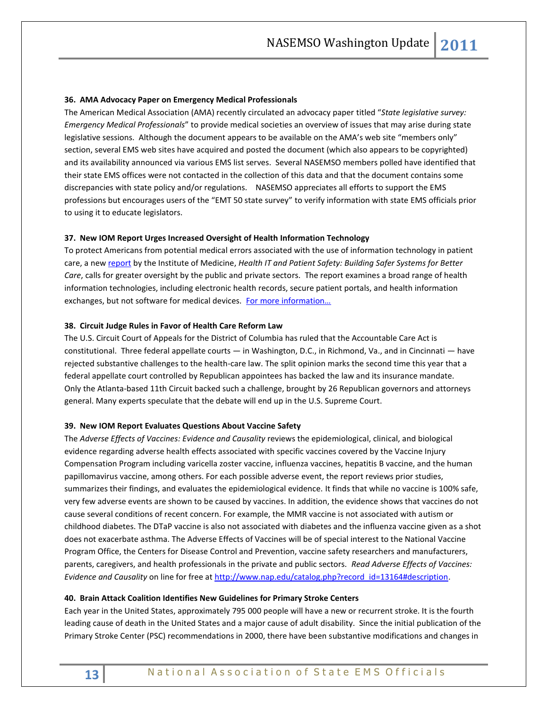#### **36. AMA Advocacy Paper on Emergency Medical Professionals**

The American Medical Association (AMA) recently circulated an advocacy paper titled "*State legislative survey: Emergency Medical Professionals*" to provide medical societies an overview of issues that may arise during state legislative sessions. Although the document appears to be available on the AMA's web site "members only" section, several EMS web sites have acquired and posted the document (which also appears to be copyrighted) and its availability announced via various EMS list serves. Several NASEMSO members polled have identified that their state EMS offices were not contacted in the collection of this data and that the document contains some discrepancies with state policy and/or regulations. NASEMSO appreciates all efforts to support the EMS professions but encourages users of the "EMT 50 state survey" to verify information with state EMS officials prior to using it to educate legislators.

#### **37. New IOM Report Urges Increased Oversight of Health Information Technology**

To protect Americans from potential medical errors associated with the use of information technology in patient care, a new [report](http://books.nap.edu/catalog.php?record_id=13269) by the Institute of Medicine, *Health IT and Patient Safety: Building Safer Systems for Better Care*, calls for greater oversight by the public and private sectors. The report examines a broad range of health information technologies, including electronic health records, secure patient portals, and health information exchanges, but not software for medical devices. [For more information…](http://www.iom.edu/Activities/Quality/PatientSafetyHIT.aspx)

#### **38. Circuit Judge Rules in Favor of Health Care Reform Law**

The U.S. Circuit Court of Appeals for the District of Columbia has ruled that the Accountable Care Act is constitutional. Three federal appellate courts — in Washington, D.C., in Richmond, Va., and in Cincinnati — have rejected substantive challenges to the health-care law. The split opinion marks the second time this year that a federal appellate court controlled by Republican appointees has backed the law and its insurance mandate. Only the Atlanta-based 11th Circuit backed such a challenge, brought by 26 Republican governors and attorneys general. Many experts speculate that the debate will end up in the U.S. Supreme Court.

#### **39. New IOM Report Evaluates Questions About Vaccine Safety**

The *Adverse Effects of Vaccines: Evidence and Causality* reviews the epidemiological, clinical, and biological evidence regarding adverse health effects associated with specific vaccines covered by the Vaccine Injury Compensation Program including varicella zoster vaccine, influenza vaccines, hepatitis B vaccine, and the human papillomavirus vaccine, among others. For each possible adverse event, the report reviews prior studies, summarizes their findings, and evaluates the epidemiological evidence. It finds that while no vaccine is 100% safe, very few adverse events are shown to be caused by vaccines. In addition, the evidence shows that vaccines do not cause several conditions of recent concern. For example, the MMR vaccine is not associated with autism or childhood diabetes. The DTaP vaccine is also not associated with diabetes and the influenza vaccine given as a shot does not exacerbate asthma. The Adverse Effects of Vaccines will be of special interest to the National Vaccine Program Office, the Centers for Disease Control and Prevention, vaccine safety researchers and manufacturers, parents, caregivers, and health professionals in the private and public sectors. *Read Adverse Effects of Vaccines: Evidence and Causality* on line for free at [http://www.nap.edu/catalog.php?record\\_id=13164#description.](http://www.nap.edu/catalog.php?record_id=13164#description)

#### **40. Brain Attack Coalition Identifies New Guidelines for Primary Stroke Centers**

Each year in the United States, approximately 795 000 people will have a new or recurrent stroke. It is the fourth leading cause of death in the United States and a major cause of adult disability. Since the initial publication of the Primary Stroke Center (PSC) recommendations in 2000, there have been substantive modifications and changes in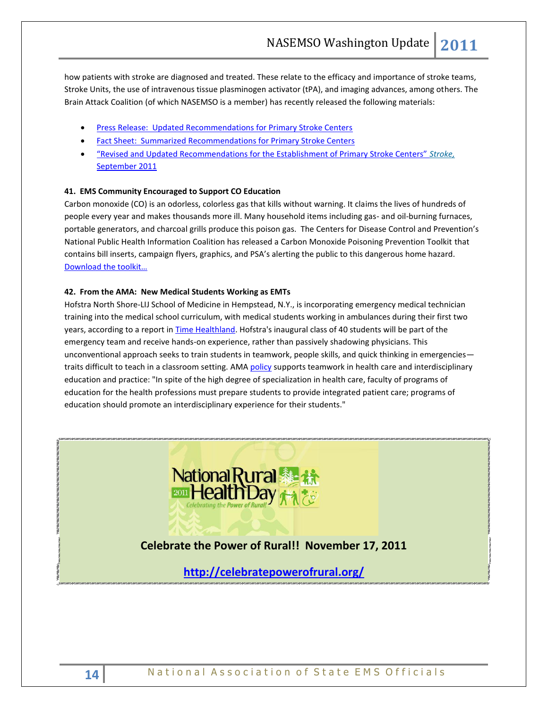how patients with stroke are diagnosed and treated. These relate to the efficacy and importance of stroke teams, Stroke Units, the use of intravenous tissue plasminogen activator (tPA), and imaging advances, among others. The Brain Attack Coalition (of which NASEMSO is a member) has recently released the following materials:

- Press Release: [Updated Recommendations for Primary Stroke Centers](http://www.stroke-site.org/coalition/center_release_082011.html)
- Fact Sheet: [Summarized Recommendations for Primary Stroke Centers](http://www.stroke-site.org/coalition/center_factsheet_082011.html)
- ["Revised and Updated Recommendations for the Establishment of Primary Stroke Centers"](http://stroke.ahajournals.org/content/early/2011/08/25/STROKEAHA.111.615336.full.pdf+html) *Stroke,*  [September 2011](http://stroke.ahajournals.org/content/early/2011/08/25/STROKEAHA.111.615336.full.pdf+html)

#### **41. EMS Community Encouraged to Support CO Education**

Carbon monoxide (CO) is an odorless, colorless gas that kills without warning. It claims the lives of hundreds of people every year and makes thousands more ill. Many household items including gas- and oil-burning furnaces, portable generators, and charcoal grills produce this poison gas. The Centers for Disease Control and Prevention's National Public Health Information Coalition has released a Carbon Monoxide Poisoning Prevention Toolkit that contains bill inserts, campaign flyers, graphics, and PSA's alerting the public to this dangerous home hazard. [Download the toolkit…](http://www.nphic.org/news/newsletters/cat_view/66-emergency-communications/101-carbon-monoxide/510-cdc-carbon-monoxide-poisoning-prevention-toolkit)

#### **42. From the AMA: New Medical Students Working as EMTs**

Hofstra North Shore-LIJ School of Medicine in Hempstead, N.Y., is incorporating emergency medical technician training into the medical school curriculum, with medical students working in ambulances during their first two years, according to a report in [Time Healthland.](http://healthland.time.com/2011/07/22/trial-by-fire-training-medical-school-grads-as-emts/) Hofstra's inaugural class of 40 students will be part of the emergency team and receive hands-on experience, rather than passively shadowing physicians. This unconventional approach seeks to train students in teamwork, people skills, and quick thinking in emergencies traits difficult to teach in a classroom setting. AMA [policy](https://ssl3.ama-assn.org/apps/ecomm/PolicyFinderForm.pl?site=www.ama-assn.org&uri=%2fresources%2fdoc%2fPolicyFinder%2fpolicyfiles%2fHnE%2fH-295.975.HTM) supports teamwork in health care and interdisciplinary education and practice: "In spite of the high degree of specialization in health care, faculty of programs of education for the health professions must prepare students to provide integrated patient care; programs of education should promote an interdisciplinary experience for their students."



# **Celebrate the Power of Rural!! November 17, 2011**

**<http://celebratepowerofrural.org/>**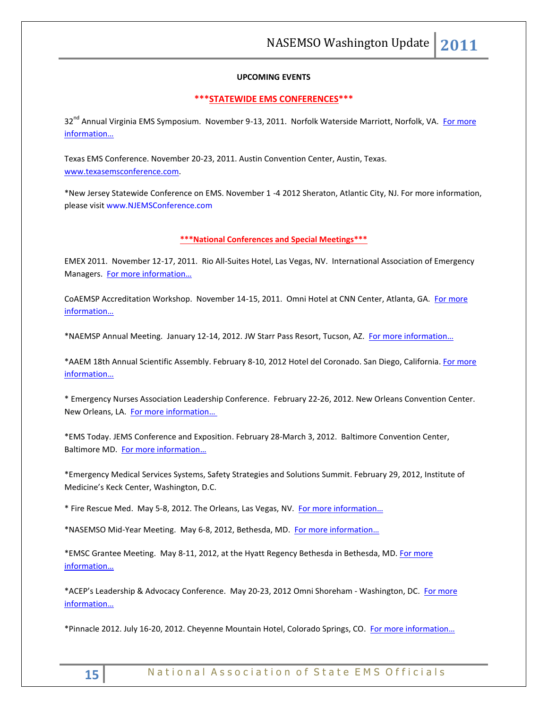#### **UPCOMING EVENTS**

#### **\*\*\*STATEWIDE EMS CONFERENCES\*\*\***

32<sup>nd</sup> Annual Virginia EMS Symposium. November 9-13, 2011. Norfolk Waterside Marriott, Norfolk, VA. For more info[rmation…](http://www.vdh.virginia.gov/oems)

Texas EMS Conference. November 20-23, 2011. Austin Convention Center, Austin, Texas. [www.texasemsconference.com.](http://www.texasemsconference.com/)

\*New Jersey Statewide Conference on EMS. November 1 -4 2012 Sheraton, Atlantic City, NJ. For more information, please visit www.NJEMSConference.com

#### **\*\*\*National Conferences and Special Meetings\*\*\***

EMEX 2011. November 12-17, 2011. Rio All-Suites Hotel, Las Vegas, NV. International Association of Emergency Managers. For more information...

CoAEMSP Accreditation Workshop. November 14-15, 2011. Omni Hotel at CNN Center, Atlanta, GA. [For more](http://www.coaemsp.org/)  [information…](http://www.coaemsp.org/)

\*NAEMSP Annual Meeting. January 12-14, 2012. JW Starr Pass Resort, Tucson, AZ. [For more information](http://www.naemsp.org/meetings.html)...

\*AAEM 18th Annual Scientific Assembly. February 8-10, 2012 Hotel del Coronado. San Diego, California. [For more](http://www.aaem.org/education/scientificassembly/)  [information](http://www.aaem.org/education/scientificassembly/)…

\* Emergency Nurses Association Leadership Conference. February 22-26, 2012. New Orleans Convention Center. New Orleans, LA. [For more information](http://www.ena.org/coursesandeducation/conferences/Pages/Default.aspx)…

\*EMS Today. JEMS Conference and Exposition. February 28-March 3, 2012. Baltimore Convention Center, Baltimore MD. [For more information](http://www.emstoday.com/)…

\*Emergency Medical Services Systems, Safety Strategies and Solutions Summit. February 29, 2012, Institute of Medicine's Keck Center, Washington, D.C.

\* Fire Rescue Med. May 5-8, 2012. The Orleans, Las Vegas, NV. [For more information](http://www.iafc.org/frm)…

\*NASEMSO Mid-Year Meeting. May 6-8, 2012, Bethesda, MD. [For more information](http://www.nasemso.org/)...

\*EMSC Grantee Meeting. May 8-11, 2012, at the Hyatt Regency Bethesda in Bethesda, MD. For more [information](http://www.childrensnational.org/EMSC/Events/Annual_Grantee.aspx)…

\*ACEP's Leadership & Advocacy Conference. May 20-23, 2012 Omni Shoreham - Washington, DC. [For more](http://www.acep.org/)  [information](http://www.acep.org/)…

\*Pinnacle 2012. July 16-20, 2012. Cheyenne Mountain Hotel, Colorado Springs, CO. [For more information](http://www.pinnacle-ems.com/)…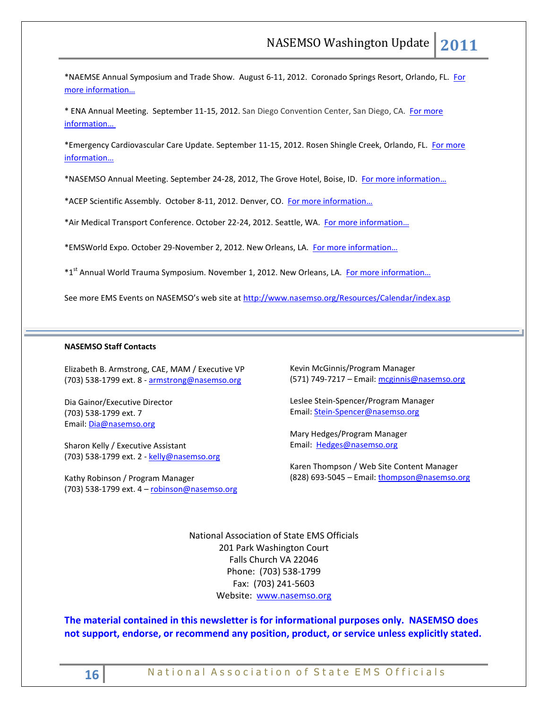\*NAEMSE Annual Symposium and Trade Show. August 6-11, 2012. Coronado Springs Resort, Orlando, FL. [For](http://www.naemse.org/symposium)  [more information](http://www.naemse.org/symposium)…

\* ENA Annual Meeting. September 11-15, 2012. San Diego Convention Center, San Diego, CA. [For more](http://www.ena.org/coursesandeducation/conferences/Pages/Default.aspx)  [information](http://www.ena.org/coursesandeducation/conferences/Pages/Default.aspx)…

\*Emergency Cardiovascular Care Update. September 11-15, 2012. Rosen Shingle Creek, Orlando, FL. [For more](http://www.eccu2012.com/)  [information](http://www.eccu2012.com/)…

\*NASEMSO Annual Meeting. September 24-28, 2012, The Grove Hotel, Boise, ID. [For more information](http://www.nasemso.org/)…

\*ACEP Scientific Assembly. October 8-11, 2012. Denver, CO. [For more information](http://www.acep.org/)...

\*Air Medical Transport Conference. October 22-24, 2012. Seattle, WA. [For more information](http://www.aams.org/)…

\*EMSWorld Expo. October 29-November 2, 2012. New Orleans, LA. [For more information…](http://emsworldexpo.com/)

\*1<sup>st</sup> Annual World Trauma Symposium. November 1, 2012. New Orleans, LA. For more information...

See more EMS Events on NASEMSO's web site at <http://www.nasemso.org/Resources/Calendar/index.asp>

#### **NASEMSO Staff Contacts**

Elizabeth B. Armstrong, CAE, MAM / Executive VP (703) 538-1799 ext. 8 - [armstrong@nasemso.org](mailto:armstrong@nasemso.org)

Dia Gainor/Executive Director (703) 538-1799 ext. 7 Email: [Dia@nasemso.org](mailto:Dia@nasemso.org)

Sharon Kelly / Executive Assistant (703) 538-1799 ext. 2 - [kelly@nasemso.org](mailto:kelly@nasemso.org)

Kathy Robinson / Program Manager (703) 538-1799 ext. 4 – [robinson@nasemso.org](mailto:robinson@nasemso.org)

Kevin McGinnis/Program Manager (571) 749-7217 - Email: [mcginnis@nasemso.org](mailto:mcginnis@nasemso.org)

Leslee Stein-Spencer/Program Manager Email: [Stein-Spencer@nasemso.org](mailto:Stein-Spencer@nasemso.org)

Mary Hedges/Program Manager Email: [Hedges@nasemso.org](mailto:Hedges@nasemso.org)

Karen Thompson / Web Site Content Manager (828) 693-5045 - Email: [thompson@nasemso.org](mailto:thompson@nasemso.org)

National Association of State EMS Officials 201 Park Washington Court Falls Church VA 22046 Phone: (703) 538-1799 Fax: (703) 241-5603 Website: [www.nasemso.org](http://www.nasemso.org/)

**The material contained in this newsletter is for informational purposes only. NASEMSO does not support, endorse, or recommend any position, product, or service unless explicitly stated.**